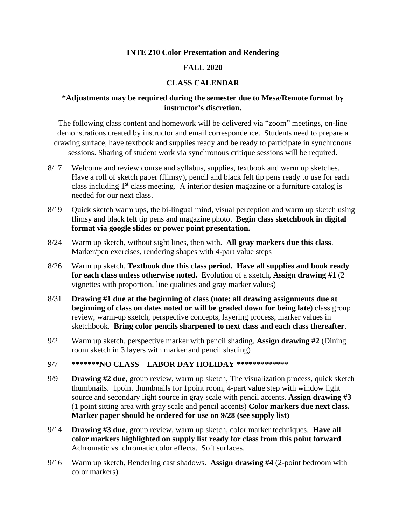### **INTE 210 Color Presentation and Rendering**

### **FALL 2020**

# **CLASS CALENDAR**

# **\*Adjustments may be required during the semester due to Mesa/Remote format by instructor's discretion.**

The following class content and homework will be delivered via "zoom" meetings, on-line demonstrations created by instructor and email correspondence. Students need to prepare a drawing surface, have textbook and supplies ready and be ready to participate in synchronous sessions. Sharing of student work via synchronous critique sessions will be required.

- 8/17 Welcome and review course and syllabus, supplies, textbook and warm up sketches. Have a roll of sketch paper (flimsy), pencil and black felt tip pens ready to use for each class including  $1<sup>st</sup>$  class meeting. A interior design magazine or a furniture catalog is needed for our next class.
- 8/19 Quick sketch warm ups, the bi-lingual mind, visual perception and warm up sketch using flimsy and black felt tip pens and magazine photo. **Begin class sketchbook in digital format via google slides or power point presentation.**
- 8/24 Warm up sketch, without sight lines, then with. **All gray markers due this class**. Marker/pen exercises, rendering shapes with 4-part value steps
- 8/26 Warm up sketch, **Textbook due this class period. Have all supplies and book ready for each class unless otherwise noted.** Evolution of a sketch, **Assign drawing #1** (2 vignettes with proportion, line qualities and gray marker values)
- 8/31 **Drawing #1 due at the beginning of class (note: all drawing assignments due at beginning of class on dates noted or will be graded down for being late**) class group review, warm-up sketch, perspective concepts, layering process, marker values in sketchbook. **Bring color pencils sharpened to next class and each class thereafter**.
- 9/2 Warm up sketch, perspective marker with pencil shading, **Assign drawing #2** (Dining room sketch in 3 layers with marker and pencil shading)

### 9/7 **\*\*\*\*\*\*\*NO CLASS – LABOR DAY HOLIDAY \*\*\*\*\*\*\*\*\*\*\*\*\***

- 9/9 **Drawing #2 due**, group review, warm up sketch, The visualization process, quick sketch thumbnails. 1point thumbnails for 1point room, 4-part value step with window light source and secondary light source in gray scale with pencil accents. **Assign drawing #3** (1 point sitting area with gray scale and pencil accents) **Color markers due next class. Marker paper should be ordered for use on 9/28 (see supply list)**
- 9/14 **Drawing #3 due**, group review, warm up sketch, color marker techniques. **Have all color markers highlighted on supply list ready for class from this point forward**. Achromatic vs. chromatic color effects. Soft surfaces.
- 9/16 Warm up sketch, Rendering cast shadows. **Assign drawing #4** (2-point bedroom with color markers)